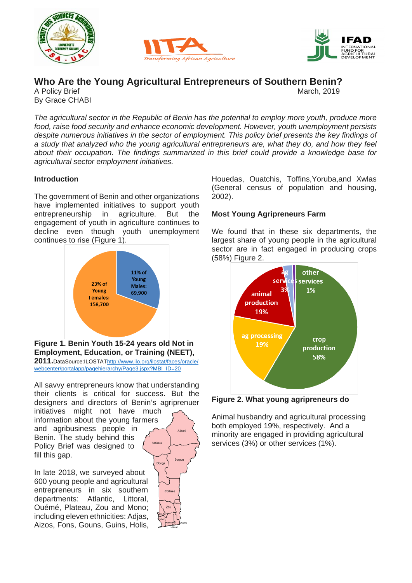





# **Who Are the Young Agricultural Entrepreneurs of Southern Benin?**

A Policy Brief By Grace CHABI

*The agricultural sector in the Republic of Benin has the potential to employ more youth, produce more food, raise food security and enhance economic development. However, youth unemployment persists despite numerous initiatives in the sector of employment. This policy brief presents the key findings of a study that analyzed who the young agricultural entrepreneurs are, what they do, and how they feel about their occupation. The findings summarized in this brief could provide a knowledge base for agricultural sector employment initiatives.*

## **Introduction**

The government of Benin and other organizations have implemented initiatives to support youth entrepreneurship in agriculture. But the engagement of youth in agriculture continues to decline even though youth unemployment continues to rise (Figure 1).



**Figure 1. Benin Youth 15-24 years old Not in Employment, Education, or Training (NEET), 2011.**DataSource:ILOSTA[Thttp://www.ilo.org/ilostat/faces/oracle/](http://www.ilo.org/ilostat/faces/oracle/webcenter/portalapp/pagehierarchy/Page3.jspx?MBI_ID=20)

[webcenter/portalapp/pagehierarchy/Page3.jspx?MBI\\_ID=20](http://www.ilo.org/ilostat/faces/oracle/webcenter/portalapp/pagehierarchy/Page3.jspx?MBI_ID=20)

All savvy entrepreneurs know that understanding their clients is critical for success. But the designers and directors of Benin's agriprenuer

initiatives might not have much information about the young farmers and agribusiness people in Benin. The study behind this Policy Brief was designed to fill this gap.

In late 2018, we surveyed about 600 young people and agricultural entrepreneurs in six southern departments: Atlantic, Littoral, Ouémé, Plateau, Zou and Mono; including eleven ethnicities: Adjas, Aizos, Fons, Gouns, Guins, Holis,

Borgo Donga

Houedas, Ouatchis, Toffins,Yoruba,and Xwlas (General census of population and housing, 2002).

## **Most Young Agripreneurs Farm**

We found that in these six departments, the largest share of young people in the agricultural sector are in fact engaged in producing crops (58%) Figure 2.



**Figure 2. What young agripreneurs do**

Animal husbandry and agricultural processing both employed 19%, respectively. And a minority are engaged in providing agricultural services (3%) or other services (1%).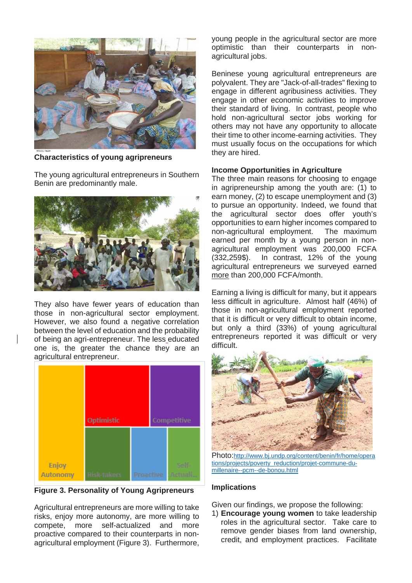

**Characteristics of young agripreneurs**

The young agricultural entrepreneurs in Southern Benin are predominantly male.



They also have fewer years of education than those in non-agricultural sector employment. However, we also found a negative correlation between the level of education and the probability of being an agri-entrepreneur. The less educated one is, the greater the chance they are an agricultural entrepreneur.



**Figure 3. Personality of Young Agripreneurs**

Agricultural entrepreneurs are more willing to take risks, enjoy more autonomy, are more willing to compete, more self-actualized and more proactive compared to their counterparts in nonagricultural employment (Figure 3). Furthermore, young people in the agricultural sector are more optimistic than their counterparts in nonagricultural jobs.

Beninese young agricultural entrepreneurs are polyvalent. They are "Jack-of-all-trades" flexing to engage in different agribusiness activities. They engage in other economic activities to improve their standard of living. In contrast, people who hold non-agricultural sector jobs working for others may not have any opportunity to allocate their time to other income-earning activities. They must usually focus on the occupations for which they are hired.

#### **Income Opportunities in Agriculture**

The three main reasons for choosing to engage in agripreneurship among the youth are: (1) to earn money, (2) to escape unemployment and (3) to pursue an opportunity. Indeed, we found that the agricultural sector does offer youth's opportunities to earn higher incomes compared to non-agricultural employment. The maximum earned per month by a young person in nonagricultural employment was 200,000 FCFA (332,259\$). In contrast, 12% of the young agricultural entrepreneurs we surveyed earned more than 200,000 FCFA/month.

Earning a living is difficult for many, but it appears less difficult in agriculture. Almost half (46%) of those in non-agricultural employment reported that it is difficult or very difficult to obtain income, but only a third (33%) of young agricultural entrepreneurs reported it was difficult or very difficult.



Photo[:http://www.bj.undp.org/content/benin/fr/home/opera](http://www.bj.undp.org/content/benin/fr/home/operations/projects/poverty_reduction/projet-commune-du-millenaire--pcm--de-bonou.html) [tions/projects/poverty\\_reduction/projet-commune-du](http://www.bj.undp.org/content/benin/fr/home/operations/projects/poverty_reduction/projet-commune-du-millenaire--pcm--de-bonou.html)[millenaire--pcm--de-bonou.html](http://www.bj.undp.org/content/benin/fr/home/operations/projects/poverty_reduction/projet-commune-du-millenaire--pcm--de-bonou.html)

#### **Implications**

Given our findings, we propose the following:

1) **Encourage young women** to take leadership roles in the agricultural sector. Take care to remove gender biases from land ownership, credit, and employment practices. Facilitate